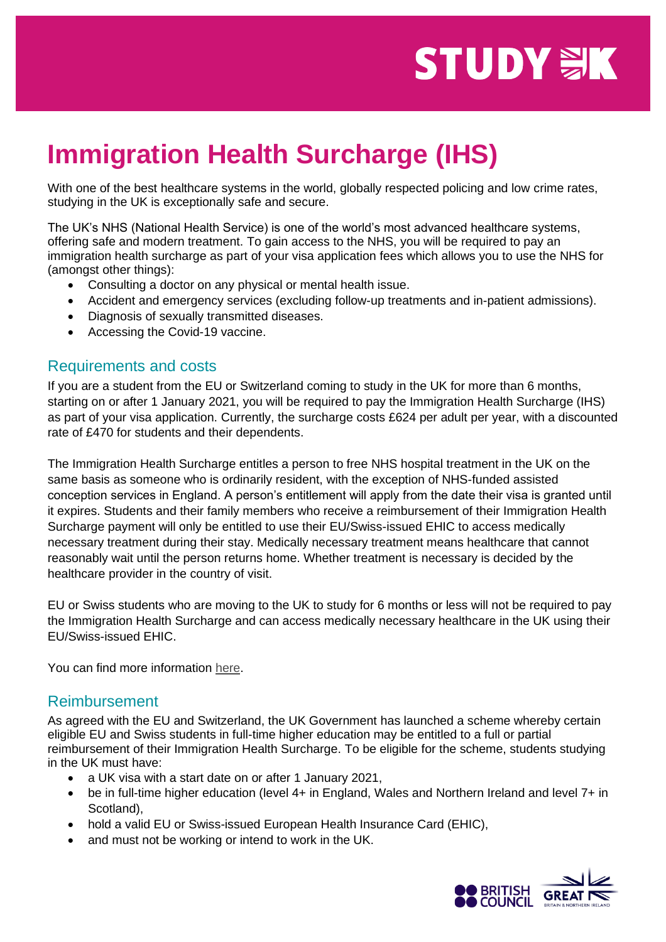## **STUDY WK**

## **Immigration Health Surcharge (IHS)**

With one of the best healthcare systems in the world, globally respected policing and low crime rates, studying in the UK is exceptionally safe and secure.

The UK's NHS (National Health Service) is one of the world's most advanced healthcare systems, offering safe and modern treatment. To gain access to the NHS, you will be required to pay an immigration health surcharge as part of your visa application fees which allows you to use the NHS for (amongst other things):

- Consulting a doctor on any physical or mental health issue.
- Accident and emergency services (excluding follow-up treatments and in-patient admissions).
- Diagnosis of sexually transmitted diseases.
- Accessing the Covid-19 vaccine.

## Requirements and costs

If you are a student from the EU or Switzerland coming to study in the UK for more than 6 months, starting on or after 1 January 2021, you will be required to pay the Immigration Health Surcharge (IHS) as part of your visa application. Currently, the surcharge costs £624 per adult per year, with a discounted rate of £470 for students and their dependents.

The Immigration Health Surcharge entitles a person to free NHS hospital treatment in the UK on the same basis as someone who is ordinarily resident, with the exception of NHS-funded assisted conception services in England. A person's entitlement will apply from the date their visa is granted until it expires. Students and their family members who receive a reimbursement of their Immigration Health Surcharge payment will only be entitled to use their EU/Swiss-issued EHIC to access medically necessary treatment during their stay. Medically necessary treatment means healthcare that cannot reasonably wait until the person returns home. Whether treatment is necessary is decided by the healthcare provider in the country of visit.

EU or Swiss students who are moving to the UK to study for 6 months or less will not be required to pay the Immigration Health Surcharge and can access medically necessary healthcare in the UK using their EU/Swiss-issued EHIC.

You can find more information [here.](https://www.gov.uk/guidance/using-the-uk-immigration-id-check-app)

## Reimbursement

As agreed with the EU and Switzerland, the UK Government has launched a scheme whereby certain eligible EU and Swiss students in full-time higher education may be entitled to a full or partial reimbursement of their Immigration Health Surcharge. To be eligible for the scheme, students studying in the UK must have:

- a UK visa with a start date on or after 1 January 2021,
- be in full-time higher education (level 4+ in England, Wales and Northern Ireland and level 7+ in Scotland),
- hold a valid EU or Swiss-issued European Health Insurance Card (EHIC),
- and must not be working or intend to work in the UK.